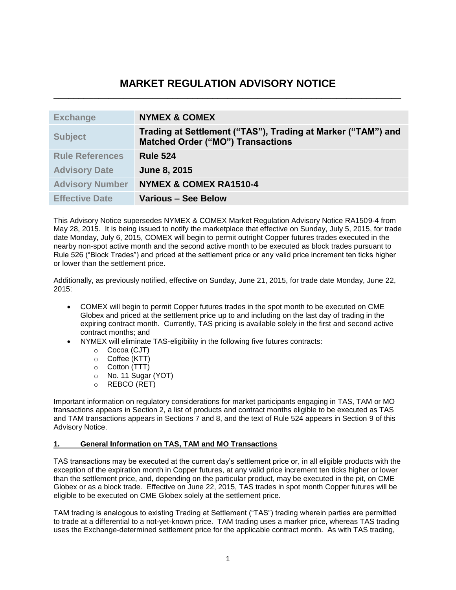# **MARKET REGULATION ADVISORY NOTICE \_\_\_\_\_\_\_\_\_\_\_\_\_\_\_\_\_\_\_\_\_\_\_\_\_\_\_\_\_\_\_\_\_\_\_\_\_\_\_\_\_\_\_\_\_\_\_\_\_\_\_\_\_\_\_\_\_\_\_\_\_\_\_\_\_\_\_\_\_\_**

| <b>Exchange</b>        | <b>NYMEX &amp; COMEX</b>                                                                                 |
|------------------------|----------------------------------------------------------------------------------------------------------|
| <b>Subject</b>         | Trading at Settlement ("TAS"), Trading at Marker ("TAM") and<br><b>Matched Order ("MO") Transactions</b> |
| <b>Rule References</b> | <b>Rule 524</b>                                                                                          |
| <b>Advisory Date</b>   | June 8, 2015                                                                                             |
| <b>Advisory Number</b> | <b>NYMEX &amp; COMEX RA1510-4</b>                                                                        |
| <b>Effective Date</b>  | <b>Various - See Below</b>                                                                               |

This Advisory Notice supersedes NYMEX & COMEX Market Regulation Advisory Notice RA1509-4 from May 28, 2015. It is being issued to notify the marketplace that effective on Sunday, July 5, 2015, for trade date Monday, July 6, 2015, COMEX will begin to permit outright Copper futures trades executed in the nearby non-spot active month and the second active month to be executed as block trades pursuant to Rule 526 ("Block Trades") and priced at the settlement price or any valid price increment ten ticks higher or lower than the settlement price.

Additionally, as previously notified, effective on Sunday, June 21, 2015, for trade date Monday, June 22, 2015:

- COMEX will begin to permit Copper futures trades in the spot month to be executed on CME Globex and priced at the settlement price up to and including on the last day of trading in the expiring contract month. Currently, TAS pricing is available solely in the first and second active contract months; and
- NYMEX will eliminate TAS-eligibility in the following five futures contracts:
	- o Cocoa (CJT)
	- o Coffee (KTT)
	- o Cotton (TTT)
	- o No. 11 Sugar (YOT)
	- o REBCO (RET)

Important information on regulatory considerations for market participants engaging in TAS, TAM or MO transactions appears in Section 2, a list of products and contract months eligible to be executed as TAS and TAM transactions appears in Sections 7 and 8, and the text of Rule 524 appears in Section 9 of this Advisory Notice.

## **1. General Information on TAS, TAM and MO Transactions**

TAS transactions may be executed at the current day's settlement price or, in all eligible products with the exception of the expiration month in Copper futures, at any valid price increment ten ticks higher or lower than the settlement price, and, depending on the particular product, may be executed in the pit, on CME Globex or as a block trade. Effective on June 22, 2015, TAS trades in spot month Copper futures will be eligible to be executed on CME Globex solely at the settlement price.

TAM trading is analogous to existing Trading at Settlement ("TAS") trading wherein parties are permitted to trade at a differential to a not-yet-known price. TAM trading uses a marker price, whereas TAS trading uses the Exchange-determined settlement price for the applicable contract month. As with TAS trading,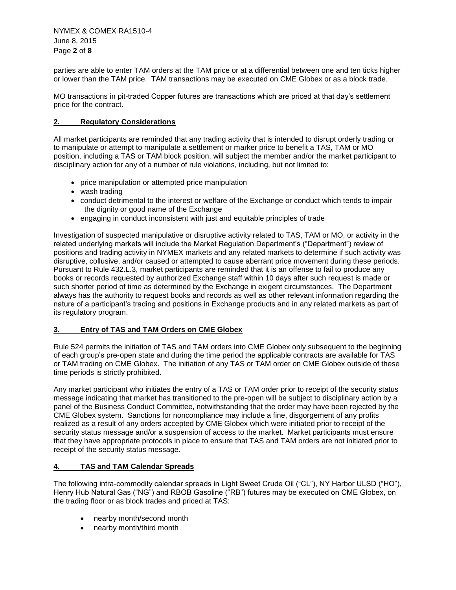NYMEX & COMEX RA1510-4 June 8, 2015 Page **2** of **8**

parties are able to enter TAM orders at the TAM price or at a differential between one and ten ticks higher or lower than the TAM price. TAM transactions may be executed on CME Globex or as a block trade.

MO transactions in pit-traded Copper futures are transactions which are priced at that day's settlement price for the contract.

## **2. Regulatory Considerations**

All market participants are reminded that any trading activity that is intended to disrupt orderly trading or to manipulate or attempt to manipulate a settlement or marker price to benefit a TAS, TAM or MO position, including a TAS or TAM block position, will subject the member and/or the market participant to disciplinary action for any of a number of rule violations, including, but not limited to:

- price manipulation or attempted price manipulation
- wash trading
- conduct detrimental to the interest or welfare of the Exchange or conduct which tends to impair the dignity or good name of the Exchange
- engaging in conduct inconsistent with just and equitable principles of trade

Investigation of suspected manipulative or disruptive activity related to TAS, TAM or MO, or activity in the related underlying markets will include the Market Regulation Department's ("Department") review of positions and trading activity in NYMEX markets and any related markets to determine if such activity was disruptive, collusive, and/or caused or attempted to cause aberrant price movement during these periods. Pursuant to Rule 432.L.3, market participants are reminded that it is an offense to fail to produce any books or records requested by authorized Exchange staff within 10 days after such request is made or such shorter period of time as determined by the Exchange in exigent circumstances. The Department always has the authority to request books and records as well as other relevant information regarding the nature of a participant's trading and positions in Exchange products and in any related markets as part of its regulatory program.

## **3. Entry of TAS and TAM Orders on CME Globex**

Rule 524 permits the initiation of TAS and TAM orders into CME Globex only subsequent to the beginning of each group's pre-open state and during the time period the applicable contracts are available for TAS or TAM trading on CME Globex. The initiation of any TAS or TAM order on CME Globex outside of these time periods is strictly prohibited.

Any market participant who initiates the entry of a TAS or TAM order prior to receipt of the security status message indicating that market has transitioned to the pre-open will be subject to disciplinary action by a panel of the Business Conduct Committee, notwithstanding that the order may have been rejected by the CME Globex system. Sanctions for noncompliance may include a fine, disgorgement of any profits realized as a result of any orders accepted by CME Globex which were initiated prior to receipt of the security status message and/or a suspension of access to the market. Market participants must ensure that they have appropriate protocols in place to ensure that TAS and TAM orders are not initiated prior to receipt of the security status message.

## **4. TAS and TAM Calendar Spreads**

The following intra-commodity calendar spreads in Light Sweet Crude Oil ("CL"), NY Harbor ULSD ("HO"), Henry Hub Natural Gas ("NG") and RBOB Gasoline ("RB") futures may be executed on CME Globex, on the trading floor or as block trades and priced at TAS:

- nearby month/second month
- nearby month/third month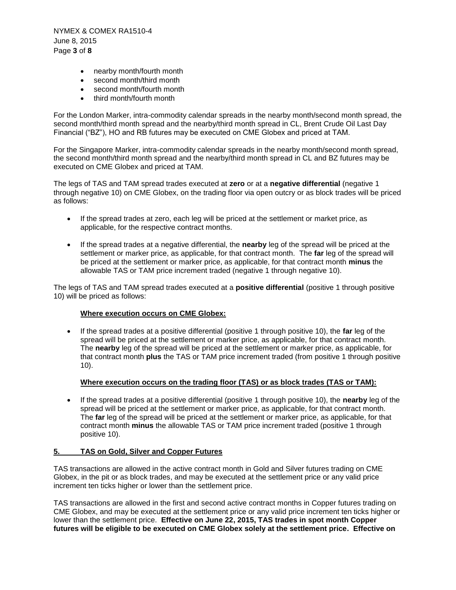NYMEX & COMEX RA1510-4 June 8, 2015 Page **3** of **8**

- nearby month/fourth month
- second month/third month
- second month/fourth month
- third month/fourth month

For the London Marker, intra-commodity calendar spreads in the nearby month/second month spread, the second month/third month spread and the nearby/third month spread in CL, Brent Crude Oil Last Day Financial ("BZ"), HO and RB futures may be executed on CME Globex and priced at TAM.

For the Singapore Marker, intra-commodity calendar spreads in the nearby month/second month spread, the second month/third month spread and the nearby/third month spread in CL and BZ futures may be executed on CME Globex and priced at TAM.

The legs of TAS and TAM spread trades executed at **zero** or at a **negative differential** (negative 1 through negative 10) on CME Globex, on the trading floor via open outcry or as block trades will be priced as follows:

- If the spread trades at zero, each leg will be priced at the settlement or market price, as applicable, for the respective contract months.
- If the spread trades at a negative differential, the **nearby** leg of the spread will be priced at the settlement or marker price, as applicable, for that contract month. The **far** leg of the spread will be priced at the settlement or marker price, as applicable, for that contract month **minus** the allowable TAS or TAM price increment traded (negative 1 through negative 10).

The legs of TAS and TAM spread trades executed at a **positive differential** (positive 1 through positive 10) will be priced as follows:

## **Where execution occurs on CME Globex:**

 If the spread trades at a positive differential (positive 1 through positive 10), the **far** leg of the spread will be priced at the settlement or marker price, as applicable, for that contract month. The **nearby** leg of the spread will be priced at the settlement or marker price, as applicable, for that contract month **plus** the TAS or TAM price increment traded (from positive 1 through positive 10).

## **Where execution occurs on the trading floor (TAS) or as block trades (TAS or TAM):**

 If the spread trades at a positive differential (positive 1 through positive 10), the **nearby** leg of the spread will be priced at the settlement or marker price, as applicable, for that contract month. The **far** leg of the spread will be priced at the settlement or marker price, as applicable, for that contract month **minus** the allowable TAS or TAM price increment traded (positive 1 through positive 10).

## **5. TAS on Gold, Silver and Copper Futures**

TAS transactions are allowed in the active contract month in Gold and Silver futures trading on CME Globex, in the pit or as block trades, and may be executed at the settlement price or any valid price increment ten ticks higher or lower than the settlement price.

TAS transactions are allowed in the first and second active contract months in Copper futures trading on CME Globex, and may be executed at the settlement price or any valid price increment ten ticks higher or lower than the settlement price. **Effective on June 22, 2015, TAS trades in spot month Copper futures will be eligible to be executed on CME Globex solely at the settlement price. Effective on**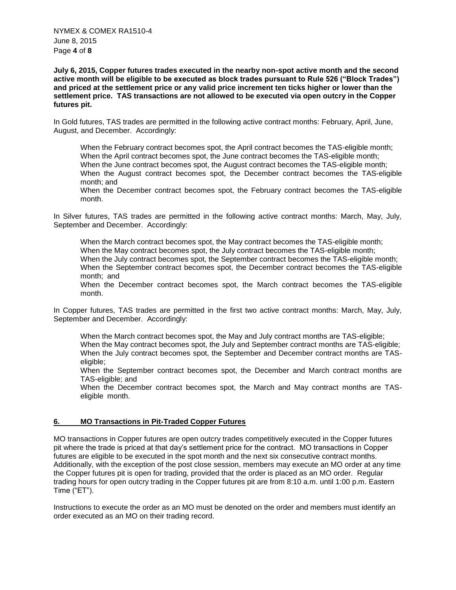NYMEX & COMEX RA1510-4 June 8, 2015 Page **4** of **8**

**July 6, 2015, Copper futures trades executed in the nearby non-spot active month and the second active month will be eligible to be executed as block trades pursuant to Rule 526 ("Block Trades") and priced at the settlement price or any valid price increment ten ticks higher or lower than the settlement price. TAS transactions are not allowed to be executed via open outcry in the Copper futures pit.**

In Gold futures, TAS trades are permitted in the following active contract months: February, April, June, August, and December. Accordingly:

When the February contract becomes spot, the April contract becomes the TAS-eligible month; When the April contract becomes spot, the June contract becomes the TAS-eligible month; When the June contract becomes spot, the August contract becomes the TAS-eligible month; When the August contract becomes spot, the December contract becomes the TAS-eligible month; and

When the December contract becomes spot, the February contract becomes the TAS-eligible month.

In Silver futures, TAS trades are permitted in the following active contract months: March, May, July, September and December. Accordingly:

When the March contract becomes spot, the May contract becomes the TAS-eligible month; When the May contract becomes spot, the July contract becomes the TAS-eligible month; When the July contract becomes spot, the September contract becomes the TAS-eligible month; When the September contract becomes spot, the December contract becomes the TAS-eligible month; and

When the December contract becomes spot, the March contract becomes the TAS-eligible month.

In Copper futures, TAS trades are permitted in the first two active contract months: March, May, July, September and December. Accordingly:

When the March contract becomes spot, the May and July contract months are TAS-eligible; When the May contract becomes spot, the July and September contract months are TAS-eligible; When the July contract becomes spot, the September and December contract months are TASeligible;

When the September contract becomes spot, the December and March contract months are TAS-eligible; and

When the December contract becomes spot, the March and May contract months are TASeligible month.

## **6. MO Transactions in Pit-Traded Copper Futures**

MO transactions in Copper futures are open outcry trades competitively executed in the Copper futures pit where the trade is priced at that day's settlement price for the contract. MO transactions in Copper futures are eligible to be executed in the spot month and the next six consecutive contract months. Additionally, with the exception of the post close session, members may execute an MO order at any time the Copper futures pit is open for trading, provided that the order is placed as an MO order. Regular trading hours for open outcry trading in the Copper futures pit are from 8:10 a.m. until 1:00 p.m. Eastern Time ("ET").

Instructions to execute the order as an MO must be denoted on the order and members must identify an order executed as an MO on their trading record.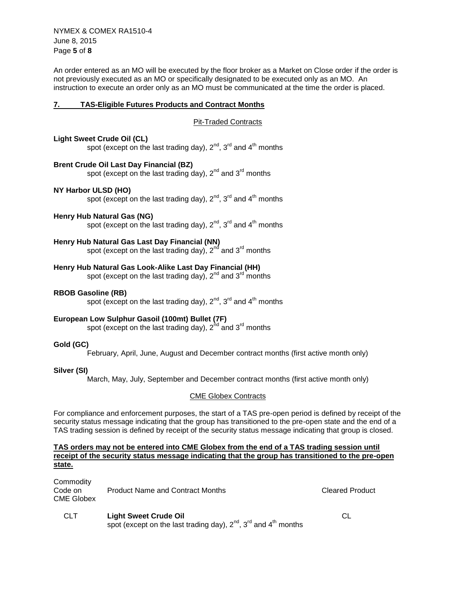NYMEX & COMEX RA1510-4 June 8, 2015 Page **5** of **8**

An order entered as an MO will be executed by the floor broker as a Market on Close order if the order is not previously executed as an MO or specifically designated to be executed only as an MO. An instruction to execute an order only as an MO must be communicated at the time the order is placed.

## **7. TAS-Eligible Futures Products and Contract Months**

Pit-Traded Contracts

## **Light Sweet Crude Oil (CL)**

spot (except on the last trading day),  $2^{nd}$ ,  $3^{rd}$  and  $4^{th}$  months

## **Brent Crude Oil Last Day Financial (BZ)**

spot (except on the last trading day),  $2^{nd}$  and  $3^{rd}$  months

## **NY Harbor ULSD (HO)**

spot (except on the last trading day),  $2^{nd}$ ,  $3^{rd}$  and  $4^{th}$  months

## **Henry Hub Natural Gas (NG)**

spot (except on the last trading day),  $2^{nd}$ ,  $3^{rd}$  and  $4^{th}$  months

## **Henry Hub Natural Gas Last Day Financial (NN)**

spot (except on the last trading day),  $2^{nd}$  and  $3^{rd}$  months

## **Henry Hub Natural Gas Look-Alike Last Day Financial (HH)**

spot (except on the last trading day),  $2^{nd}$  and  $3^{rd}$  months

## **RBOB Gasoline (RB)**

spot (except on the last trading day),  $2^{nd}$ ,  $3^{rd}$  and  $4^{th}$  months

## **European Low Sulphur Gasoil (100mt) Bullet (7F)**

spot (except on the last trading day),  $2^{nd}$  and  $3^{rd}$  months

## **Gold (GC)**

February, April, June, August and December contract months (first active month only)

## **Silver (SI)**

March, May, July, September and December contract months (first active month only)

## CME Globex Contracts

For compliance and enforcement purposes, the start of a TAS pre-open period is defined by receipt of the security status message indicating that the group has transitioned to the pre-open state and the end of a TAS trading session is defined by receipt of the security status message indicating that group is closed.

#### **TAS orders may not be entered into CME Globex from the end of a TAS trading session until receipt of the security status message indicating that the group has transitioned to the pre-open state.**

| Commodity<br>Code on:<br>CME Globex | <b>Product Name and Contract Months</b> | <b>Cleared Product</b> |
|-------------------------------------|-----------------------------------------|------------------------|
| <b>CLT</b>                          | <b>Light Sweet Crude Oil</b>            |                        |

spot (except on the last trading day),  $2^{nd}$ ,  $3^{rd}$  and  $4^{th}$  months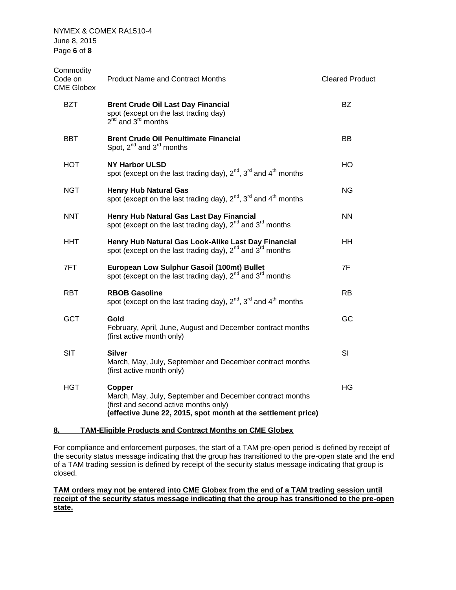NYMEX & COMEX RA1510-4 June 8, 2015 Page **6** of **8**

| Commodity<br>Code on<br><b>CME Globex</b> | <b>Product Name and Contract Months</b>                                                                                                                                      | <b>Cleared Product</b> |
|-------------------------------------------|------------------------------------------------------------------------------------------------------------------------------------------------------------------------------|------------------------|
| <b>BZT</b>                                | <b>Brent Crude Oil Last Day Financial</b><br>spot (except on the last trading day)<br>$2^{nd}$ and $3^{rd}$ months                                                           | <b>BZ</b>              |
| <b>BBT</b>                                | <b>Brent Crude Oil Penultimate Financial</b><br>Spot, $2^{nd}$ and $3^{rd}$ months                                                                                           | BB.                    |
| HOT                                       | <b>NY Harbor ULSD</b><br>spot (except on the last trading day), $2^{nd}$ , $3^{rd}$ and $4^{th}$ months                                                                      | HO                     |
| <b>NGT</b>                                | <b>Henry Hub Natural Gas</b><br>spot (except on the last trading day), $2^{nd}$ , $3^{rd}$ and $4^{th}$ months                                                               | ΝG                     |
| <b>NNT</b>                                | Henry Hub Natural Gas Last Day Financial<br>spot (except on the last trading day), 2 <sup>nd</sup> and 3 <sup>rd</sup> months                                                | <b>NN</b>              |
| <b>HHT</b>                                | Henry Hub Natural Gas Look-Alike Last Day Financial<br>spot (except on the last trading day), $2^{nd}$ and $3^{rd}$ months                                                   | <b>HH</b>              |
| 7FT                                       | European Low Sulphur Gasoil (100mt) Bullet<br>spot (except on the last trading day), $2^{nd'}$ and $3^{rd}$ months                                                           | 7F                     |
| <b>RBT</b>                                | <b>RBOB Gasoline</b><br>spot (except on the last trading day), $2^{nd}$ , $3^{rd}$ and $4^{th}$ months                                                                       | <b>RB</b>              |
| <b>GCT</b>                                | <b>Gold</b><br>February, April, June, August and December contract months<br>(first active month only)                                                                       |                        |
| <b>SIT</b>                                | <b>Silver</b><br>March, May, July, September and December contract months<br>(first active month only)                                                                       | SI                     |
| <b>HGT</b>                                | Copper<br>March, May, July, September and December contract months<br>(first and second active months only)<br>(effective June 22, 2015, spot month at the settlement price) | ΗG                     |
|                                           |                                                                                                                                                                              |                        |

## **8. TAM-Eligible Products and Contract Months on CME Globex**

For compliance and enforcement purposes, the start of a TAM pre-open period is defined by receipt of the security status message indicating that the group has transitioned to the pre-open state and the end of a TAM trading session is defined by receipt of the security status message indicating that group is closed.

## **TAM orders may not be entered into CME Globex from the end of a TAM trading session until receipt of the security status message indicating that the group has transitioned to the pre-open state.**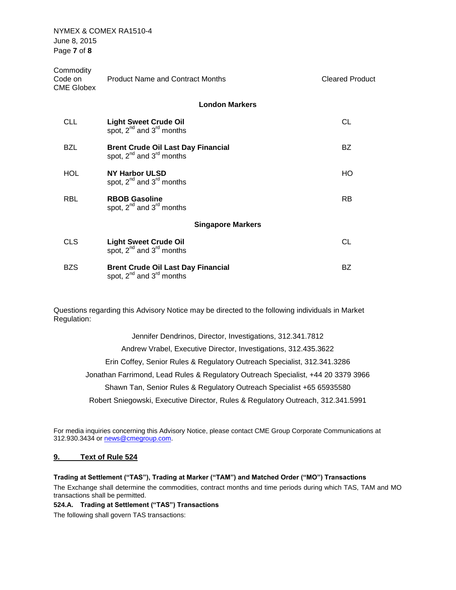NYMEX & COMEX RA1510-4 June 8, 2015 Page **7** of **8**

| Commodity<br>Code on<br><b>CME Globex</b> | <b>Product Name and Contract Months</b>                                         | <b>Cleared Product</b> |
|-------------------------------------------|---------------------------------------------------------------------------------|------------------------|
|                                           | <b>London Markers</b>                                                           |                        |
| <b>CLL</b>                                | <b>Light Sweet Crude Oil</b><br>spot, $2^{nd}$ and $3^{rd}$ months              | <b>CL</b>              |
| <b>BZL</b>                                | <b>Brent Crude Oil Last Day Financial</b><br>spot, $2^{nd}$ and $3^{rd}$ months | BZ                     |
| HOL.                                      | NY Harbor ULSD<br>spot, $2^{nd}$ and $3^{rd}$ months                            | HO                     |
| <b>RBL</b>                                | <b>RBOB Gasoline</b><br>spot, $2^{nd}$ and $3^{rd}$ months                      | <b>RB</b>              |
|                                           | <b>Singapore Markers</b>                                                        |                        |
| <b>CLS</b>                                | <b>Light Sweet Crude Oil</b><br>spot, $2^{nd}$ and $3^{rd}$ months              | <b>CL</b>              |
| <b>BZS</b>                                | <b>Brent Crude Oil Last Day Financial</b><br>spot, $2^{nd}$ and $3^{rd}$ months | <b>BZ</b>              |

Questions regarding this Advisory Notice may be directed to the following individuals in Market Regulation:

> Jennifer Dendrinos, Director, Investigations, 312.341.7812 Andrew Vrabel, Executive Director, Investigations, 312.435.3622 Erin Coffey, Senior Rules & Regulatory Outreach Specialist, 312.341.3286 Jonathan Farrimond, Lead Rules & Regulatory Outreach Specialist, +44 20 3379 3966 Shawn Tan, Senior Rules & Regulatory Outreach Specialist +65 65935580 Robert Sniegowski, Executive Director, Rules & Regulatory Outreach, 312.341.5991

For media inquiries concerning this Advisory Notice, please contact CME Group Corporate Communications at 312.930.3434 or [news@cmegroup.com.](mailto:news@cmegroup.com)

## **9. Text of Rule 524**

#### **Trading at Settlement ("TAS"), Trading at Marker ("TAM") and Matched Order ("MO") Transactions**

The Exchange shall determine the commodities, contract months and time periods during which TAS, TAM and MO transactions shall be permitted.

#### **524.A. Trading at Settlement ("TAS") Transactions**

The following shall govern TAS transactions: